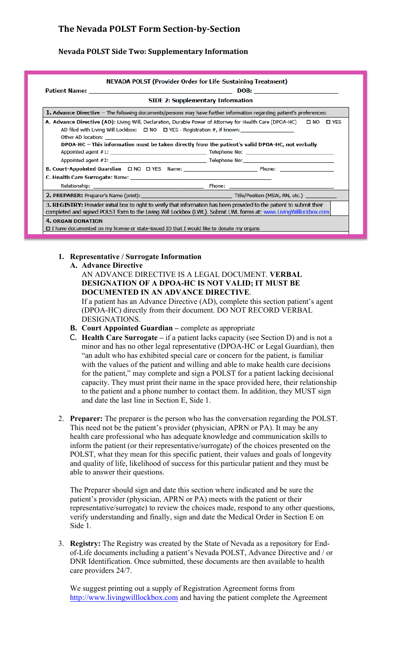# **The Nevada POLST Form Section-by-Section**

### **Nevada POLST Side Two: Supplementary Information**

| <b>SIDE 2: Supplementary Information</b>                                                                                                                                                                                                   |  |
|--------------------------------------------------------------------------------------------------------------------------------------------------------------------------------------------------------------------------------------------|--|
| 1. Advance Directive $-$ The following documents/persons may have further information regarding patient's preferences:                                                                                                                     |  |
| AD filed with Living Will Lockbox: $\Box$ NO $\Box$ YES - Registration #, if known:<br>DPOA-HC - This information must be taken directly from the patient's valid DPOA-HC, not verbally                                                    |  |
|                                                                                                                                                                                                                                            |  |
|                                                                                                                                                                                                                                            |  |
|                                                                                                                                                                                                                                            |  |
|                                                                                                                                                                                                                                            |  |
| 3. REGISTRY: Provider initial box to right to verify that information has been provided to the patient to submit their<br>completed and signed POLST form to the Living Will Lockbox (LWL). Submit LWL forms at: www.LivingWilllockbox.com |  |
| <b>4. ORGAN DONATION</b><br>$\Box$ I have documented on my license or state-issued ID that I would like to donate my organs                                                                                                                |  |

#### **1. Representative / Surrogate Information**

**A. Advance Directive**

### AN ADVANCE DIRECTIVE IS A LEGAL DOCUMENT. **VERBAL DESIGNATION OF A DPOA-HC IS NOT VALID; IT MUST BE DOCUMENTED IN AN ADVANCE DIRECTIVE**.

If a patient has an Advance Directive (AD), complete this section patient's agent (DPOA-HC) directly from their document. DO NOT RECORD VERBAL DESIGNATIONS.

- **B. Court Appointed Guardian –** complete as appropriate
- C. **Health Care Surrogate –** if a patient lacks capacity (see Section D) and is not a minor and has no other legal representative (DPOA-HC or Legal Guardian), then "an adult who has exhibited special care or concern for the patient, is familiar with the values of the patient and willing and able to make health care decisions for the patient," may complete and sign a POLST for a patient lacking decisional capacity. They must print their name in the space provided here, their relationship to the patient and a phone number to contact them. In addition, they MUST sign and date the last line in Section E, Side 1.
- 2. **Preparer:** The preparer is the person who has the conversation regarding the POLST. This need not be the patient's provider (physician, APRN or PA). It may be any health care professional who has adequate knowledge and communication skills to inform the patient (or their representative/surrogate) of the choices presented on the POLST, what they mean for this specific patient, their values and goals of longevity and quality of life, likelihood of success for this particular patient and they must be able to answer their questions.

The Preparer should sign and date this section where indicated and be sure the patient's provider (physician, APRN or PA) meets with the patient or their representative/surrogate) to review the choices made, respond to any other questions, verify understanding and finally, sign and date the Medical Order in Section E on Side 1.

3. **Registry:** The Registry was created by the State of Nevada as a repository for Endof-Life documents including a patient's Nevada POLST, Advance Directive and / or DNR Identification. Once submitted, these documents are then available to health care providers 24/7.

We suggest printing out a supply of Registration Agreement forms from http://www.livingwilllockbox.com and having the patient complete the Agreement